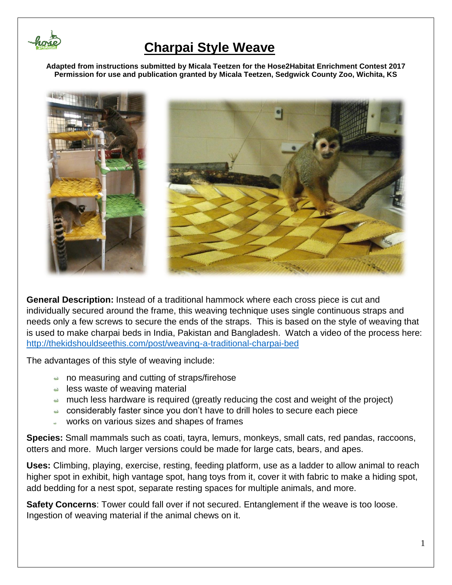

**Adapted from instructions submitted by Micala Teetzen for the Hose2Habitat Enrichment Contest 2017 Permission for use and publication granted by Micala Teetzen, Sedgwick County Zoo, Wichita, KS**



**General Description:** Instead of a traditional hammock where each cross piece is cut and individually secured around the frame, this weaving technique uses single continuous straps and needs only a few screws to secure the ends of the straps. This is based on the style of weaving that is used to make charpai beds in India, Pakistan and Bangladesh. Watch a video of the process here: <http://thekidshouldseethis.com/post/weaving-a-traditional-charpai-bed>

The advantages of this style of weaving include:

- no measuring and cutting of straps/firehose
- $\triangle$  less waste of weaving material
- $\rightarrow$  much less hardware is required (greatly reducing the cost and weight of the project)
- considerably faster since you don't have to drill holes to secure each piece
- works on various sizes and shapes of frames

**Species:** Small mammals such as coati, tayra, lemurs, monkeys, small cats, red pandas, raccoons, otters and more. Much larger versions could be made for large cats, bears, and apes.

**Uses:** Climbing, playing, exercise, resting, feeding platform, use as a ladder to allow animal to reach higher spot in exhibit, high vantage spot, hang toys from it, cover it with fabric to make a hiding spot, add bedding for a nest spot, separate resting spaces for multiple animals, and more.

**Safety Concerns**: Tower could fall over if not secured. Entanglement if the weave is too loose. Ingestion of weaving material if the animal chews on it.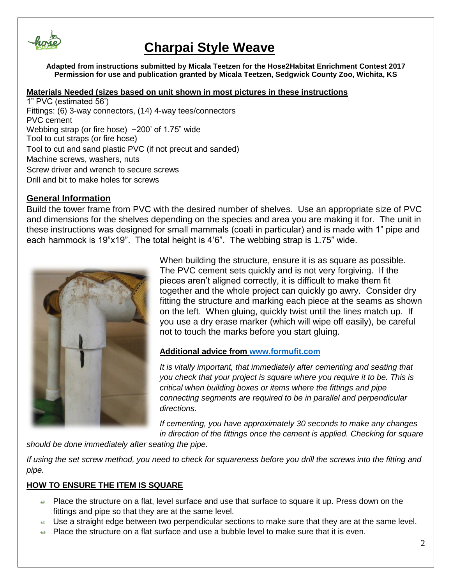

**Adapted from instructions submitted by Micala Teetzen for the Hose2Habitat Enrichment Contest 2017 Permission for use and publication granted by Micala Teetzen, Sedgwick County Zoo, Wichita, KS**

#### **Materials Needed (sizes based on unit shown in most pictures in these instructions**

1" PVC (estimated 56') Fittings: (6) 3-way connectors, (14) 4-way tees/connectors PVC cement Webbing strap (or fire hose) ~200' of 1.75" wide Tool to cut straps (or fire hose) Tool to cut and sand plastic PVC (if not precut and sanded) Machine screws, washers, nuts Screw driver and wrench to secure screws Drill and bit to make holes for screws

#### **General Information**

Build the tower frame from PVC with the desired number of shelves. Use an appropriate size of PVC and dimensions for the shelves depending on the species and area you are making it for. The unit in these instructions was designed for small mammals (coati in particular) and is made with 1" pipe and each hammock is 19"x19". The total height is 4'6". The webbing strap is 1.75" wide.



When building the structure, ensure it is as square as possible. The PVC cement sets quickly and is not very forgiving. If the pieces aren't aligned correctly, it is difficult to make them fit together and the whole project can quickly go awry. Consider dry fitting the structure and marking each piece at the seams as shown on the left. When gluing, quickly twist until the lines match up. If you use a dry erase marker (which will wipe off easily), be careful not to touch the marks before you start gluing.

#### **Additional advice from [www.formufit.com](http://www.formufit.com/)**

*It is vitally important, that immediately after cementing and seating that you check that your project is square where you require it to be. This is critical when building boxes or items where the fittings and pipe connecting segments are required to be in parallel and perpendicular directions.*

*If cementing, you have approximately 30 seconds to make any changes in direction of the fittings once the cement is applied. Checking for square* 

*should be done immediately after seating the pipe.*

*If using the set screw method, you need to check for squareness before you drill the screws into the fitting and pipe.*

#### **HOW TO ENSURE THE ITEM IS SQUARE**

- Place the structure on a flat, level surface and use that surface to square it up. Press down on the fittings and pipe so that they are at the same level.
- Use a straight edge between two perpendicular sections to make sure that they are at the same level.
- Place the structure on a flat surface and use a bubble level to make sure that it is even.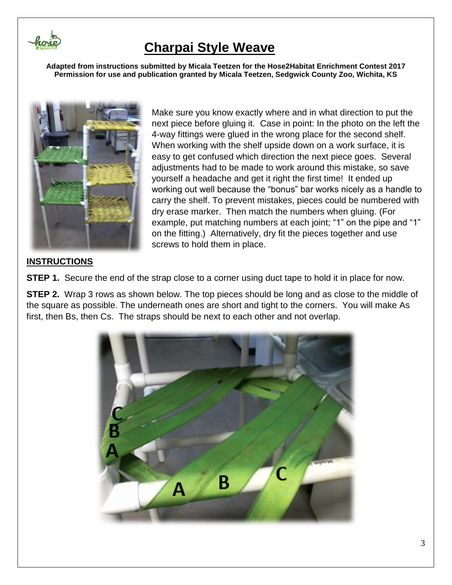

**Adapted from instructions submitted by Micala Teetzen for the Hose2Habitat Enrichment Contest 2017 Permission for use and publication granted by Micala Teetzen, Sedgwick County Zoo, Wichita, KS**



Make sure you know exactly where and in what direction to put the next piece before gluing it. Case in point: In the photo on the left the 4-way fittings were glued in the wrong place for the second shelf. When working with the shelf upside down on a work surface, it is easy to get confused which direction the next piece goes. Several adjustments had to be made to work around this mistake, so save yourself a headache and get it right the first time! It ended up working out well because the "bonus" bar works nicely as a handle to carry the shelf. To prevent mistakes, pieces could be numbered with dry erase marker. Then match the numbers when gluing. (For example, put matching numbers at each joint; "1" on the pipe and "1" on the fitting.) Alternatively, dry fit the pieces together and use screws to hold them in place.

#### **INSTRUCTIONS**

**STEP 1.** Secure the end of the strap close to a corner using duct tape to hold it in place for now.

**STEP 2.** Wrap 3 rows as shown below. The top pieces should be long and as close to the middle of the square as possible. The underneath ones are short and tight to the corners. You will make As first, then Bs, then Cs. The straps should be next to each other and not overlap.

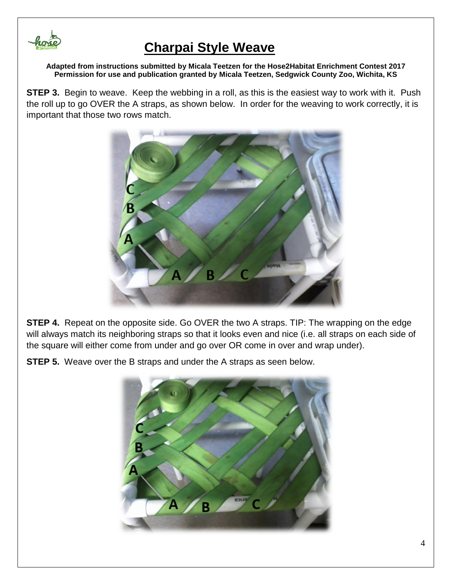

**Adapted from instructions submitted by Micala Teetzen for the Hose2Habitat Enrichment Contest 2017 Permission for use and publication granted by Micala Teetzen, Sedgwick County Zoo, Wichita, KS**

**STEP 3.** Begin to weave. Keep the webbing in a roll, as this is the easiest way to work with it. Push the roll up to go OVER the A straps, as shown below. In order for the weaving to work correctly, it is important that those two rows match.



**STEP 4.** Repeat on the opposite side. Go OVER the two A straps. TIP: The wrapping on the edge will always match its neighboring straps so that it looks even and nice (i.e. all straps on each side of the square will either come from under and go over OR come in over and wrap under).

**STEP 5.** Weave over the B straps and under the A straps as seen below.

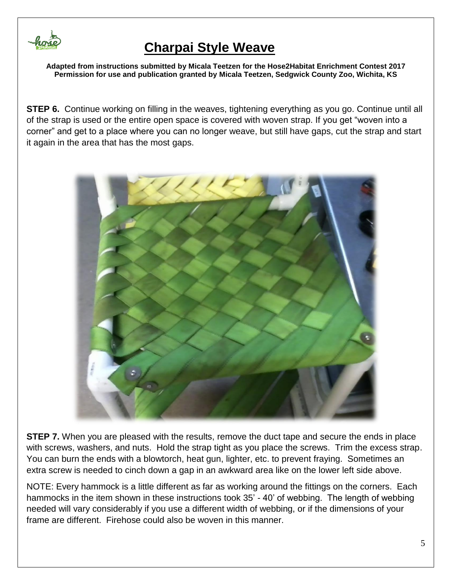

**Adapted from instructions submitted by Micala Teetzen for the Hose2Habitat Enrichment Contest 2017 Permission for use and publication granted by Micala Teetzen, Sedgwick County Zoo, Wichita, KS**

**STEP 6.** Continue working on filling in the weaves, tightening everything as you go. Continue until all of the strap is used or the entire open space is covered with woven strap. If you get "woven into a corner" and get to a place where you can no longer weave, but still have gaps, cut the strap and start it again in the area that has the most gaps.



**STEP 7.** When you are pleased with the results, remove the duct tape and secure the ends in place with screws, washers, and nuts. Hold the strap tight as you place the screws. Trim the excess strap. You can burn the ends with a blowtorch, heat gun, lighter, etc. to prevent fraying. Sometimes an extra screw is needed to cinch down a gap in an awkward area like on the lower left side above.

NOTE: Every hammock is a little different as far as working around the fittings on the corners. Each hammocks in the item shown in these instructions took 35' - 40' of webbing. The length of webbing needed will vary considerably if you use a different width of webbing, or if the dimensions of your frame are different. Firehose could also be woven in this manner.